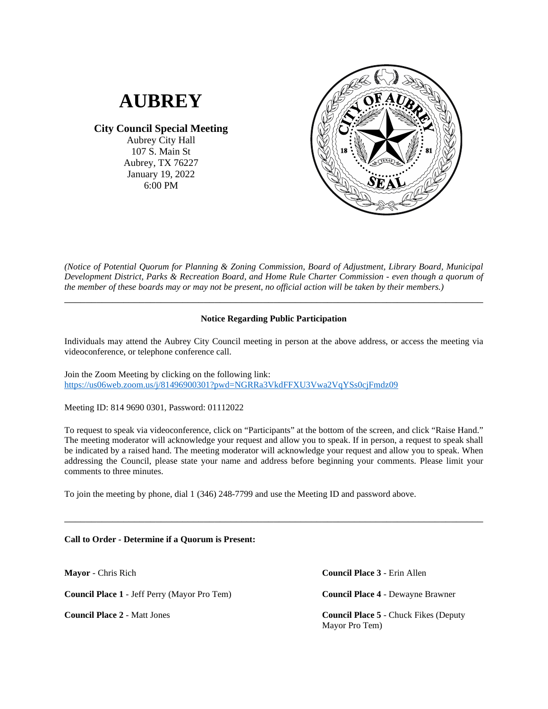

**City Council Special Meeting**

Aubrey City Hall 107 S. Main St Aubrey, TX 76227 January 19, 2022 6:00 PM



*(Notice of Potential Quorum for Planning & Zoning Commission, Board of Adjustment, Library Board, Municipal Development District, Parks & Recreation Board, and Home Rule Charter Commission - even though a quorum of the member of these boards may or may not be present, no official action will be taken by their members.)*

## **Notice Regarding Public Participation**

\_\_\_\_\_\_\_\_\_\_\_\_\_\_\_\_\_\_\_\_\_\_\_\_\_\_\_\_\_\_\_\_\_\_\_\_\_\_\_\_\_\_\_\_\_\_\_\_\_\_\_\_\_\_\_\_\_\_\_\_\_\_\_\_\_\_\_\_\_\_\_\_\_\_\_\_\_\_

Individuals may attend the Aubrey City Council meeting in person at the above address, or access the meeting via videoconference, or telephone conference call.

Join the Zoom Meeting by clicking on the following link: <https://us06web.zoom.us/j/81496900301?pwd=NGRRa3VkdFFXU3Vwa2VqYSs0cjFmdz09>

Meeting ID: 814 9690 0301, Password: 01112022

To request to speak via videoconference, click on "Participants" at the bottom of the screen, and click "Raise Hand." The meeting moderator will acknowledge your request and allow you to speak. If in person, a request to speak shall be indicated by a raised hand. The meeting moderator will acknowledge your request and allow you to speak. When addressing the Council, please state your name and address before beginning your comments. Please limit your comments to three minutes.

\_\_\_\_\_\_\_\_\_\_\_\_\_\_\_\_\_\_\_\_\_\_\_\_\_\_\_\_\_\_\_\_\_\_\_\_\_\_\_\_\_\_\_\_\_\_\_\_\_\_\_\_\_\_\_\_\_\_\_\_\_\_\_\_\_\_\_\_\_\_\_\_\_\_\_\_\_\_

To join the meeting by phone, dial 1 (346) 248-7799 and use the Meeting ID and password above.

## **Call to Order - Determine if a Quorum is Present:**

**Mayor** - Chris Rich

**Council Place 1** - Jeff Perry (Mayor Pro Tem)

**Council Place 2** - Matt Jones

**Council Place 3** - Erin Allen **Council Place 4** - Dewayne Brawner **Council Place 5** - Chuck Fikes (Deputy Mayor Pro Tem)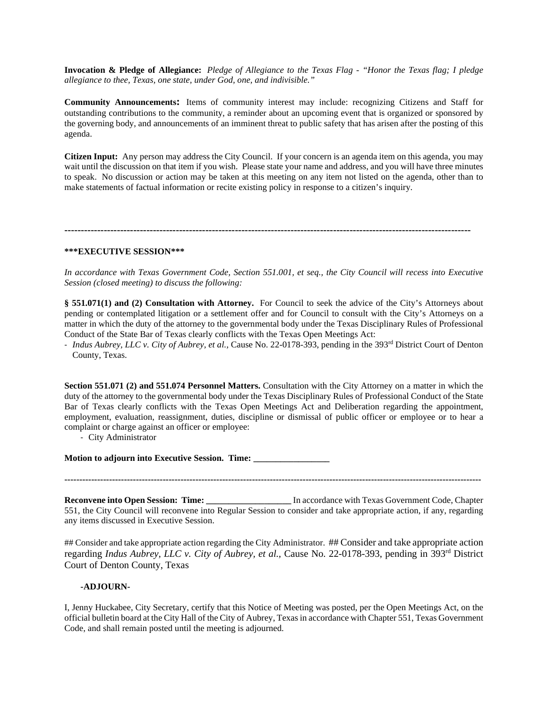**Invocation & Pledge of Allegiance:** *Pledge of Allegiance to the Texas Flag - "Honor the Texas flag; I pledge allegiance to thee, Texas, one state, under God, one, and indivisible."*

**Community Announcements:** Items of community interest may include: recognizing Citizens and Staff for outstanding contributions to the community, a reminder about an upcoming event that is organized or sponsored by the governing body, and announcements of an imminent threat to public safety that has arisen after the posting of this agenda.

**Citizen Input:** Any person may address the City Council. If your concern is an agenda item on this agenda, you may wait until the discussion on that item if you wish. Please state your name and address, and you will have three minutes to speak. No discussion or action may be taken at this meeting on any item not listed on the agenda, other than to make statements of factual information or recite existing policy in response to a citizen's inquiry.

**----------------------------------------------------------------------------------------------------------------------------**

## **\*\*\*EXECUTIVE SESSION\*\*\***

*In accordance with Texas Government Code, Section 551.001, et seq., the City Council will recess into Executive Session (closed meeting) to discuss the following:*

**§ 551.071(1) and (2) Consultation with Attorney.** For Council to seek the advice of the City's Attorneys about pending or contemplated litigation or a settlement offer and for Council to consult with the City's Attorneys on a matter in which the duty of the attorney to the governmental body under the Texas Disciplinary Rules of Professional Conduct of the State Bar of Texas clearly conflicts with the Texas Open Meetings Act:

- *Indus Aubrey, LLC v. City of Aubrey, et al.,* Cause No. 22-0178-393, pending in the 393rd District Court of Denton County, Texas.

**Section 551.071 (2) and 551.074 Personnel Matters.** Consultation with the City Attorney on a matter in which the duty of the attorney to the governmental body under the Texas Disciplinary Rules of Professional Conduct of the State Bar of Texas clearly conflicts with the Texas Open Meetings Act and Deliberation regarding the appointment, employment, evaluation, reassignment, duties, discipline or dismissal of public officer or employee or to hear a complaint or charge against an officer or employee:

- City Administrator

**Motion to adjourn into Executive Session. Time: \_\_\_\_\_\_\_\_\_\_\_\_\_\_\_\_\_**

**--------------------------------------------------------------------------------------------------------------------------------------------**

**Reconvene into Open Session: Time:** \_\_\_\_\_\_\_\_\_\_\_\_\_\_\_\_\_\_\_\_ In accordance with Texas Government Code, Chapter 551, the City Council will reconvene into Regular Session to consider and take appropriate action, if any, regarding any items discussed in Executive Session.

## Consider and take appropriate action regarding the City Administrator. ## Consider and take appropriate action regarding *Indus Aubrey, LLC v. City of Aubrey, et al.,* Cause No. 22-0178-393, pending in 393rd District Court of Denton County, Texas

## **-ADJOURN-**

I, Jenny Huckabee, City Secretary, certify that this Notice of Meeting was posted, per the Open Meetings Act, on the official bulletin board at the City Hall of the City of Aubrey, Texas in accordance with Chapter 551, Texas Government Code, and shall remain posted until the meeting is adjourned.